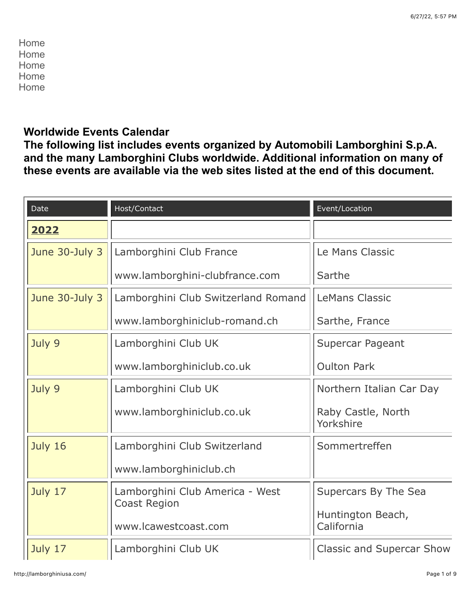[Home](http://lamborghiniusa.com/home.html) [Home](http://lamborghiniusa.com/home.html) [Home](http://lamborghiniusa.com/home.html) [Home](http://lamborghiniusa.com/home.html) [Home](http://lamborghiniusa.com/home.html)

## **Worldwide Events Calendar**

**The following list includes events organized by Automobili Lamborghini S.p.A. and the many Lamborghini Clubs worldwide. Additional information on many of these events are available via the web sites listed at the end of this document.**

| Date           | Host/Contact                                | Event/Location                   |
|----------------|---------------------------------------------|----------------------------------|
| 2022           |                                             |                                  |
| June 30-July 3 | Lamborghini Club France                     | Le Mans Classic                  |
|                | www.lamborghini-clubfrance.com              | Sarthe                           |
| June 30-July 3 | Lamborghini Club Switzerland Romand         | <b>LeMans Classic</b>            |
|                | www.lamborghiniclub-romand.ch               | Sarthe, France                   |
| July 9         | Lamborghini Club UK                         | Supercar Pageant                 |
|                | www.lamborghiniclub.co.uk                   | <b>Oulton Park</b>               |
| July 9         | Lamborghini Club UK                         | Northern Italian Car Day         |
|                | www.lamborghiniclub.co.uk                   | Raby Castle, North<br>Yorkshire  |
| July 16        | Lamborghini Club Switzerland                | Sommertreffen                    |
|                | www.lamborghiniclub.ch                      |                                  |
| July 17        | Lamborghini Club America - West             | Supercars By The Sea             |
|                | <b>Coast Region</b><br>www.lcawestcoast.com | Huntington Beach,<br>California  |
| July 17        | Lamborghini Club UK                         | <b>Classic and Supercar Show</b> |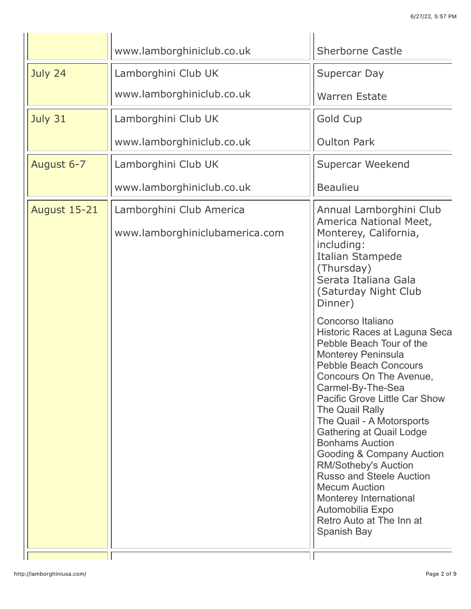|                     | www.lamborghiniclub.co.uk      | <b>Sherborne Castle</b>                                                                                                                                                                                                                                                                                                                                                                                                                                                                                                                                          |
|---------------------|--------------------------------|------------------------------------------------------------------------------------------------------------------------------------------------------------------------------------------------------------------------------------------------------------------------------------------------------------------------------------------------------------------------------------------------------------------------------------------------------------------------------------------------------------------------------------------------------------------|
| July 24             | Lamborghini Club UK            | Supercar Day                                                                                                                                                                                                                                                                                                                                                                                                                                                                                                                                                     |
|                     | www.lamborghiniclub.co.uk      | <b>Warren Estate</b>                                                                                                                                                                                                                                                                                                                                                                                                                                                                                                                                             |
| July 31             | Lamborghini Club UK            | <b>Gold Cup</b>                                                                                                                                                                                                                                                                                                                                                                                                                                                                                                                                                  |
|                     | www.lamborghiniclub.co.uk      | <b>Oulton Park</b>                                                                                                                                                                                                                                                                                                                                                                                                                                                                                                                                               |
| August 6-7          | Lamborghini Club UK            | Supercar Weekend                                                                                                                                                                                                                                                                                                                                                                                                                                                                                                                                                 |
|                     | www.lamborghiniclub.co.uk      | <b>Beaulieu</b>                                                                                                                                                                                                                                                                                                                                                                                                                                                                                                                                                  |
| <b>August 15-21</b> | Lamborghini Club America       | Annual Lamborghini Club<br>America National Meet,                                                                                                                                                                                                                                                                                                                                                                                                                                                                                                                |
|                     | www.lamborghiniclubamerica.com | Monterey, California,<br>including:<br><b>Italian Stampede</b><br>(Thursday)<br>Serata Italiana Gala<br>(Saturday Night Club<br>Dinner)                                                                                                                                                                                                                                                                                                                                                                                                                          |
|                     |                                | Concorso Italiano<br>Historic Races at Laguna Seca<br>Pebble Beach Tour of the<br><b>Monterey Peninsula</b><br><b>Pebble Beach Concours</b><br>Concours On The Avenue,<br>Carmel-By-The-Sea<br><b>Pacific Grove Little Car Show</b><br>The Quail Rally<br>The Quail - A Motorsports<br><b>Gathering at Quail Lodge</b><br><b>Bonhams Auction</b><br>Gooding & Company Auction<br><b>RM/Sotheby's Auction</b><br><b>Russo and Steele Auction</b><br><b>Mecum Auction</b><br>Monterey International<br>Automobilia Expo<br>Retro Auto at The Inn at<br>Spanish Bay |
|                     |                                |                                                                                                                                                                                                                                                                                                                                                                                                                                                                                                                                                                  |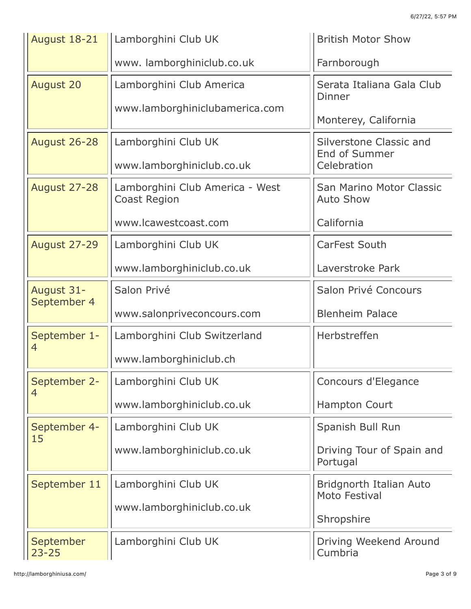| August 18-21                   | Lamborghini Club UK                                    | <b>British Motor Show</b>                                             |
|--------------------------------|--------------------------------------------------------|-----------------------------------------------------------------------|
|                                | www.lamborghiniclub.co.uk                              | Farnborough                                                           |
| <b>August 20</b>               | Lamborghini Club America                               | Serata Italiana Gala Club<br>Dinner                                   |
|                                | www.lamborghiniclubamerica.com                         | Monterey, California                                                  |
| <b>August 26-28</b>            | Lamborghini Club UK<br>www.lamborghiniclub.co.uk       | <b>Silverstone Classic and</b><br><b>End of Summer</b><br>Celebration |
| <b>August 27-28</b>            | Lamborghini Club America - West<br><b>Coast Region</b> | San Marino Motor Classic<br><b>Auto Show</b>                          |
|                                | www.lcawestcoast.com                                   | California                                                            |
| <b>August 27-29</b>            | Lamborghini Club UK                                    | <b>CarFest South</b>                                                  |
|                                | www.lamborghiniclub.co.uk                              | Laverstroke Park                                                      |
| August 31-<br>September 4      | Salon Privé                                            | Salon Privé Concours                                                  |
|                                | www.salonpriveconcours.com                             | <b>Blenheim Palace</b>                                                |
| September 1-<br>$\overline{4}$ | Lamborghini Club Switzerland                           | Herbstreffen                                                          |
|                                | www.lamborghiniclub.ch                                 |                                                                       |
| September 2-<br>$\overline{4}$ | Lamborghini Club UK                                    | Concours d'Elegance                                                   |
|                                | www.lamborghiniclub.co.uk                              | <b>Hampton Court</b>                                                  |
| September 4-<br>15             | Lamborghini Club UK                                    | Spanish Bull Run                                                      |
|                                | www.lamborghiniclub.co.uk                              | Driving Tour of Spain and<br>Portugal                                 |
| September 11                   | Lamborghini Club UK                                    | Bridgnorth Italian Auto<br>Moto Festival                              |
|                                | www.lamborghiniclub.co.uk                              | Shropshire                                                            |
| September<br>$23 - 25$         | Lamborghini Club UK                                    | Driving Weekend Around<br>Cumbria                                     |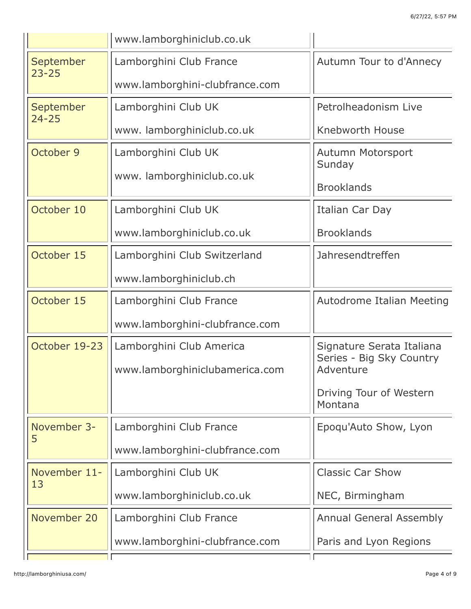|                        | www.lamborghiniclub.co.uk      |                                                       |
|------------------------|--------------------------------|-------------------------------------------------------|
| September              | Lamborghini Club France        | Autumn Tour to d'Annecy                               |
| $23 - 25$              | www.lamborghini-clubfrance.com |                                                       |
| September<br>$24 - 25$ | Lamborghini Club UK            | Petrolheadonism Live                                  |
|                        | www.lamborghiniclub.co.uk      | Knebworth House                                       |
| October 9              | Lamborghini Club UK            | Autumn Motorsport<br>Sunday                           |
|                        | www.lamborghiniclub.co.uk      |                                                       |
|                        |                                | <b>Brooklands</b>                                     |
| October 10             | Lamborghini Club UK            | Italian Car Day                                       |
|                        | www.lamborghiniclub.co.uk      | <b>Brooklands</b>                                     |
| October 15             | Lamborghini Club Switzerland   | Jahresendtreffen                                      |
|                        | www.lamborghiniclub.ch         |                                                       |
| October 15             | Lamborghini Club France        | Autodrome Italian Meeting                             |
|                        | www.lamborghini-clubfrance.com |                                                       |
| October 19-23          | Lamborghini Club America       | Signature Serata Italiana<br>Series - Big Sky Country |
|                        | www.lamborghiniclubamerica.com | Adventure                                             |
|                        |                                | Driving Tour of Western<br>Montana                    |
| November 3-            | Lamborghini Club France        | Epoqu'Auto Show, Lyon                                 |
| 5                      | www.lamborghini-clubfrance.com |                                                       |
| November 11-           | Lamborghini Club UK            | <b>Classic Car Show</b>                               |
| 13                     | www.lamborghiniclub.co.uk      | NEC, Birmingham                                       |
| November 20            | Lamborghini Club France        | <b>Annual General Assembly</b>                        |
|                        | www.lamborghini-clubfrance.com | Paris and Lyon Regions                                |
|                        |                                |                                                       |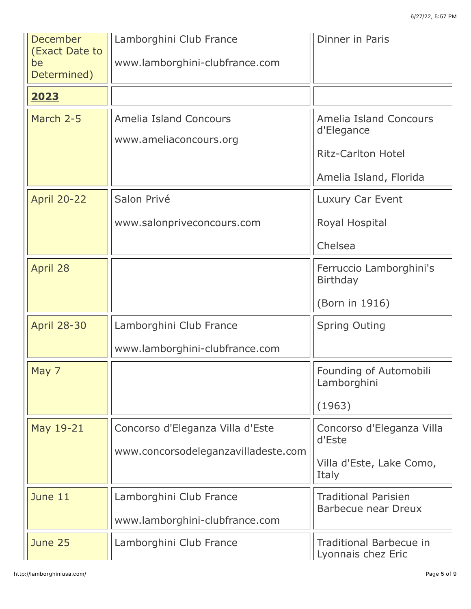| December<br>(Exact Date to | Lamborghini Club France             | Dinner in Paris                                           |
|----------------------------|-------------------------------------|-----------------------------------------------------------|
| be<br>Determined)          | www.lamborghini-clubfrance.com      |                                                           |
| 2023                       |                                     |                                                           |
| March 2-5                  | <b>Amelia Island Concours</b>       | <b>Amelia Island Concours</b><br>d'Elegance               |
|                            | www.ameliaconcours.org              | <b>Ritz-Carlton Hotel</b>                                 |
|                            |                                     | Amelia Island, Florida                                    |
| <b>April 20-22</b>         | Salon Privé                         | Luxury Car Event                                          |
|                            | www.salonpriveconcours.com          | Royal Hospital                                            |
|                            |                                     | Chelsea                                                   |
| April 28                   |                                     | Ferruccio Lamborghini's<br><b>Birthday</b>                |
|                            |                                     | (Born in 1916)                                            |
| <b>April 28-30</b>         | Lamborghini Club France             | <b>Spring Outing</b>                                      |
|                            | www.lamborghini-clubfrance.com      |                                                           |
| May 7                      |                                     | Founding of Automobili<br>Lamborghini                     |
|                            |                                     | (1963)                                                    |
| May 19-21                  | Concorso d'Eleganza Villa d'Este    | Concorso d'Eleganza Villa<br>d'Este                       |
|                            | www.concorsodeleganzavilladeste.com |                                                           |
|                            |                                     | Villa d'Este, Lake Como,<br>Italy                         |
| June 11                    | Lamborghini Club France             | <b>Traditional Parisien</b><br><b>Barbecue near Dreux</b> |
|                            | www.lamborghini-clubfrance.com      |                                                           |
| June 25                    | Lamborghini Club France             | <b>Traditional Barbecue in</b><br>Lyonnais chez Eric      |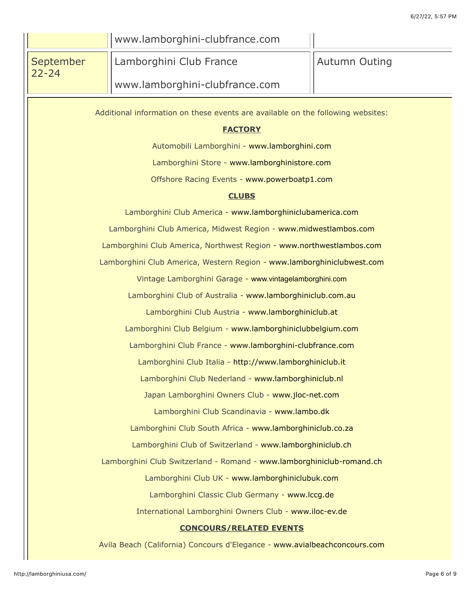|                                                                                 | www.lamborghini-clubfrance.com                                            |                      |
|---------------------------------------------------------------------------------|---------------------------------------------------------------------------|----------------------|
| September<br>$22 - 24$                                                          | Lamborghini Club France                                                   | <b>Autumn Outing</b> |
|                                                                                 | www.lamborghini-clubfrance.com                                            |                      |
|                                                                                 |                                                                           |                      |
| Additional information on these events are available on the following websites: |                                                                           |                      |
| <b>FACTORY</b><br>Automobili Lamborghini - www.lamborghini.com                  |                                                                           |                      |
| Lamborghini Store - www.lamborghinistore.com                                    |                                                                           |                      |
| Offshore Racing Events - www.powerboatp1.com                                    |                                                                           |                      |
| <b>CLUBS</b>                                                                    |                                                                           |                      |
| Lamborghini Club America - www.lamborghiniclubamerica.com                       |                                                                           |                      |
| Lamborghini Club America, Midwest Region - www.midwestlambos.com                |                                                                           |                      |
| Lamborghini Club America, Northwest Region - www.northwestlambos.com            |                                                                           |                      |
| Lamborghini Club America, Western Region - www.lamborghiniclubwest.com          |                                                                           |                      |
| Vintage Lamborghini Garage - www.vintagelamborghini.com                         |                                                                           |                      |
| Lamborghini Club of Australia - www.lamborghiniclub.com.au                      |                                                                           |                      |
| Lamborghini Club Austria - www.lamborghiniclub.at                               |                                                                           |                      |
| Lamborghini Club Belgium - www.lamborghiniclubbelgium.com                       |                                                                           |                      |
| Lamborghini Club France - www.lamborghini-clubfrance.com                        |                                                                           |                      |
| Lamborghini Club Italia - http://www.lamborghiniclub.it                         |                                                                           |                      |
| Lamborghini Club Nederland - www.lamborghiniclub.nl                             |                                                                           |                      |
| Japan Lamborghini Owners Club - www.jloc-net.com                                |                                                                           |                      |
| Lamborghini Club Scandinavia - www.lambo.dk                                     |                                                                           |                      |
| Lamborghini Club South Africa - www.lamborghiniclub.co.za                       |                                                                           |                      |
| Lamborghini Club of Switzerland - www.lamborghiniclub.ch                        |                                                                           |                      |
| Lamborghini Club Switzerland - Romand - www.lamborghiniclub-romand.ch           |                                                                           |                      |
| Lamborghini Club UK - www.lamborghiniclubuk.com                                 |                                                                           |                      |
| Lamborghini Classic Club Germany - www.lccg.de                                  |                                                                           |                      |
| International Lamborghini Owners Club - www.iloc-ev.de                          |                                                                           |                      |
| <b>CONCOURS/RELATED EVENTS</b>                                                  |                                                                           |                      |
|                                                                                 | Avila Beach (California) Concours d'Elegance - www.avialbeachconcours.com |                      |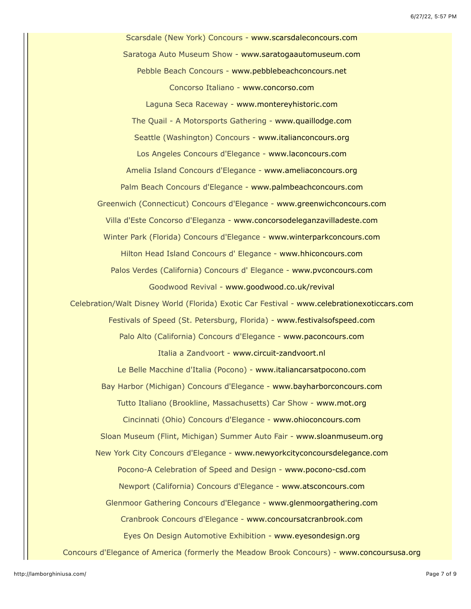Scarsdale (New York) Concours - [www.scarsdaleconcours.com](http://www.scarsdaleconcours.com/) Saratoga Auto Museum Show - [www.saratogaautomuseum.com](http://www.saratogaautomuseum.com/) Pebble Beach Concours - [www.pebblebeachconcours.net](http://www.pebblebeachconcours.net/) Concorso Italiano - [www.concorso.com](http://www.concorso.com/) Laguna Seca Raceway - [www.montereyhistoric.com](http://www.montereyhistoric.com/) The Quail - A Motorsports Gathering - [www.quaillodge.com](http://www.quaillodge.com/) Seattle (Washington) Concours - [www.italianconcours.org](http://www.italianconcours.org/) Los Angeles Concours d'Elegance - [www.laconcours.com](http://www.laconcours.com/) Amelia Island Concours d'Elegance - [www.ameliaconcours.org](http://www.ameliaconcours.org/) Palm Beach Concours d'Elegance - [www.palmbeachconcours.com](http://www.palmbeachconcours.com/) Greenwich (Connecticut) Concours d'Elegance - [www.greenwichconcours.com](http://www.greenwichconcours.com/) Villa d'Este Concorso d'Eleganza - [www.concorsodeleganzavilladeste.com](http://www.concorsodeleganzavilladeste.com/) Winter Park (Florida) Concours d'Elegance - [www.winterparkconcours.com](http://www.winterparkconcours.com/) Hilton Head Island Concours d' Elegance - [www.hhiconcours.com](http://www.hhiconcours.com/) Palos Verdes (California) Concours d' Elegance - [www.pvconcours.com](http://www.pvconcours.com/) Goodwood Revival - [www.goodwood.co.uk/revival](http://www.goodwood.co.uk/revival) Celebration/Walt Disney World (Florida) Exotic Car Festival - [www.celebrationexoticcars.com](http://www.celebrationexoticcars.com/) Festivals of Speed (St. Petersburg, Florida) - [www.festivalsofspeed.com](http://www.festivalsofspeed.com/) Palo Alto (California) Concours d'Elegance - [www.paconcours.com](http://www.paconcours.com/) Italia a Zandvoort - [www.circuit-zandvoort.nl](http://www.circuit-zandvoort.nl/) Le Belle Macchine d'Italia (Pocono) - [www.italiancarsatpocono.com](http://www.italiancarsatpocono.com/) Bay Harbor (Michigan) Concours d'Elegance - [www.bayharborconcours.com](http://www.bayharborconcours.com/) Tutto Italiano (Brookline, Massachusetts) Car Show - [www.mot.org](http://www.mot.org/) Cincinnati (Ohio) Concours d'Elegance - [www.ohioconcours.com](http://www.ohioconcours.com/) Sloan Museum (Flint, Michigan) Summer Auto Fair - [www.sloanmuseum.org](http://www.sloanmuseum.org/) New York City Concours d'Elegance - [www.newyorkcityconcoursdelegance.com](http://www.newyorkcityconcoursdelegance.com/) Pocono-A Celebration of Speed and Design - [www.pocono-csd.com](http://www.pocno-csd.com/) Newport (California) Concours d'Elegance - [www.atsconcours.com](http://www.atsconcours.com/) Glenmoor Gathering Concours d'Elegance - [www.glenmoorgathering.com](http://www.glenmoorgathering.com/) Cranbrook Concours d'Elegance - [www.concoursatcranbrook.com](http://www.concoursatcranbrook.com/) Eyes On Design Automotive Exhibition - [www.eyesondesign.org](http://www.eyesondesign.org/) Concours d'Elegance of America (formerly the Meadow Brook Concours) - [www.concoursusa.org](http://www.meadowbrookconcours.org/)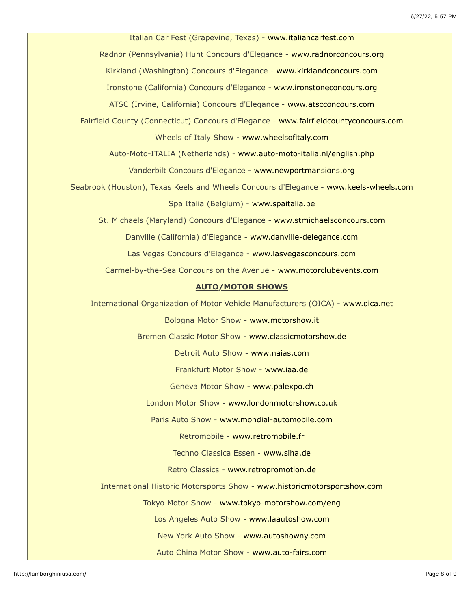Italian Car Fest (Grapevine, Texas) - [www.italiancarfest.com](http://www.italiancarfest.com/) Radnor (Pennsylvania) Hunt Concours d'Elegance - [www.radnorconcours.org](http://www.radnorconcours.org/) Kirkland (Washington) Concours d'Elegance - [www.kirklandconcours.com](http://www.kirklandconcours.com/) Ironstone (California) Concours d'Elegance - [www.ironstoneconcours.org](http://www.ironstoneconcours.org/) ATSC (Irvine, California) Concours d'Elegance - [www.atscconcours.com](http://www.atscconcours.com/) Fairfield County (Connecticut) Concours d'Elegance - [www.fairfieldcountyconcours.com](http://www.fairfieldcountyconcours.com/) Wheels of Italy Show - [www.wheelsofitaly.com](http://www.wheelsofitaly.com/) Auto-Moto-ITALIA (Netherlands) - [www.auto-moto-italia.nl/english.php](http://www.auto-moto-italia.nl/english.php) Vanderbilt Concours d'Elegance - [www.newportmansions.org](http://www.newportmansions.org/) Seabrook (Houston), Texas Keels and Wheels Concours d'Elegance - [www.keels-wheels.com](http://www.keels-wheels.com/) Spa Italia (Belgium) - [www.spaitalia.be](http://www.spaitalia.be/) St. Michaels (Maryland) Concours d'Elegance - [www.stmichaelsconcours.com](http://www.stmichaelsconcours.com/) Danville (California) d'Elegance - [www.danville-delegance.com](http://www.danville-delegance.com/) Las Vegas Concours d'Elegance - [www.lasvegasconcours.com](http://www.lasvegasconcours.com/) Carmel-by-the-Sea Concours on the Avenue - [www.motorclubevents.com](http://www.motorclubevents.com/) **AUTO/MOTOR SHOWS** International Organization of Motor Vehicle Manufacturers (OICA) - [www.oica.net](http://www.oica.net/) Bologna Motor Show - [www.motorshow.it](http://www.motorshow.it/) Bremen Classic Motor Show - [www.classicmotorshow.de](http://www.classicmotorshow.de/) Detroit Auto Show - [www.naias.com](http://www.naias.com/) Frankfurt Motor Show - [www.iaa.de](http://www.iaa.de/) Geneva Motor Show - [www.palexpo.ch](http://www.palexpo.ch/) London Motor Show - [www.londonmotorshow.co.uk](http://www.londonmotorshow.co.uk/) Paris Auto Show - [www.mondial-automobile.com](http://www.mondial-automobile.com/) Retromobile - [www.retromobile.fr](http://www.retromobile.fr/) Techno Classica Essen - [www.siha.de](http://www.siha.de/) Retro Classics - [www.retropromotion.de](http://www.retropromotion.de/) International Historic Motorsports Show - [www.historicmotorsportshow.com](http://www.historicmotorsportshow.com/) Tokyo Motor Show - [www.tokyo-motorshow.com/eng](http://www.tokyo-motorshow.com/eng) Los Angeles Auto Show - [www.laautoshow.com](http://www.laautoshow.com/) New York Auto Show - [www.autoshowny.com](http://www.autoshowny.com/) Auto China Motor Show - [www.auto-fairs.com](http://www.auto-fairs.com/)